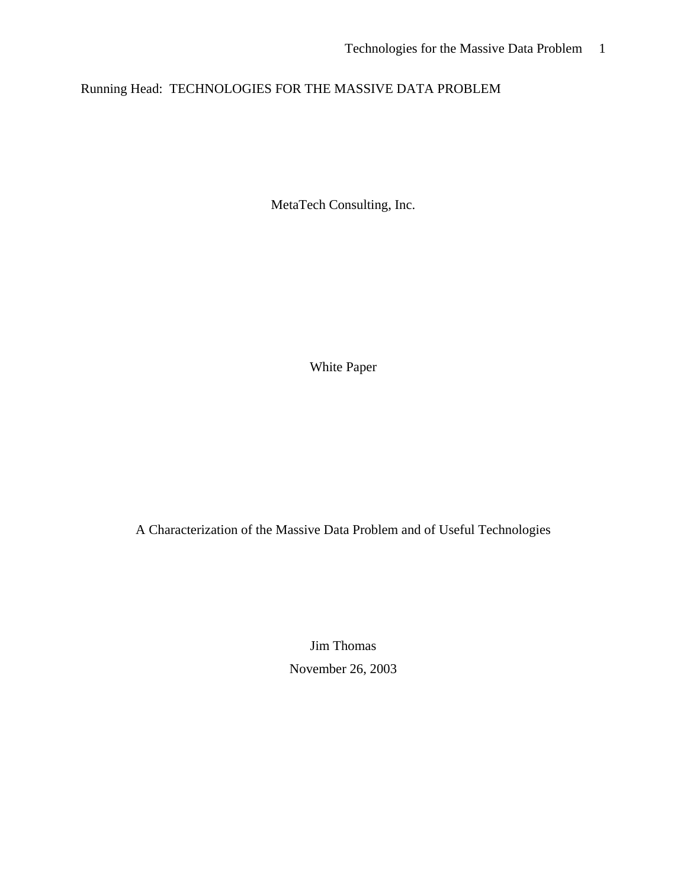# Running Head: TECHNOLOGIES FOR THE MASSIVE DATA PROBLEM

MetaTech Consulting, Inc.

White Paper

A Characterization of the Massive Data Problem and of Useful Technologies

Jim Thomas November 26, 2003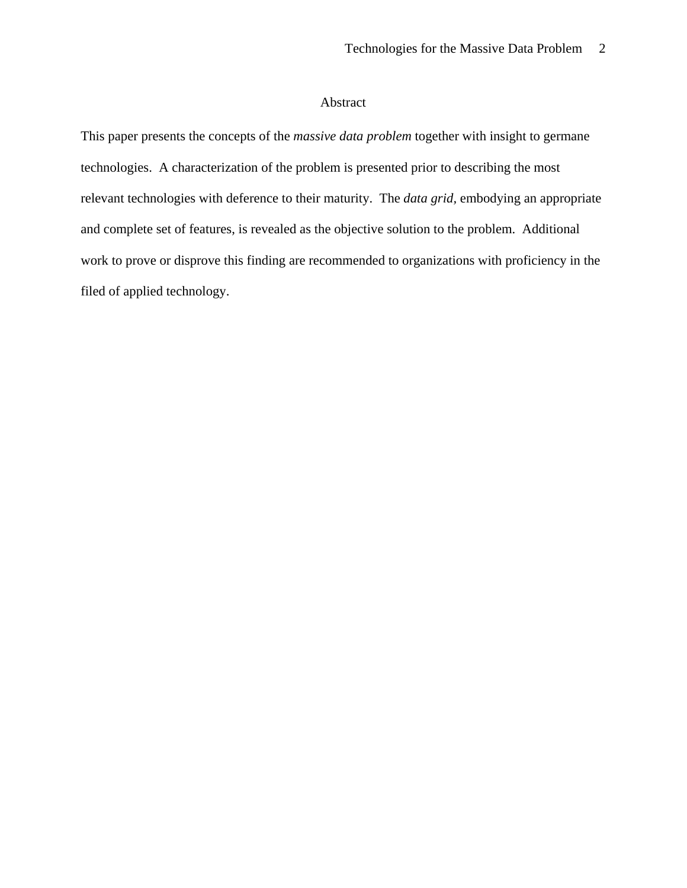# Abstract

This paper presents the concepts of the *massive data problem* together with insight to germane technologies. A characterization of the problem is presented prior to describing the most relevant technologies with deference to their maturity. The *data grid,* embodying an appropriate and complete set of features, is revealed as the objective solution to the problem. Additional work to prove or disprove this finding are recommended to organizations with proficiency in the filed of applied technology.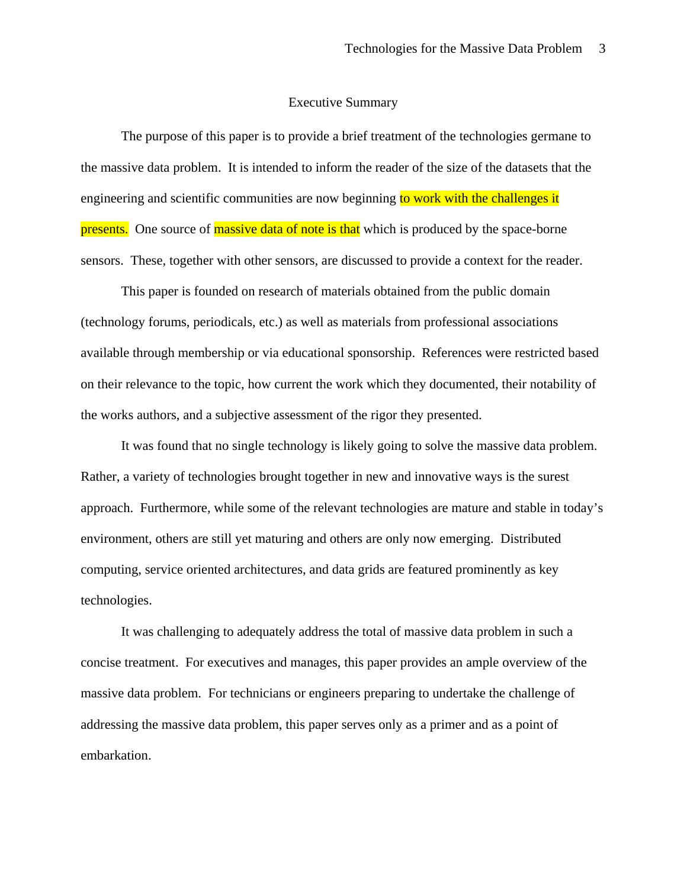#### Executive Summary

The purpose of this paper is to provide a brief treatment of the technologies germane to the massive data problem. It is intended to inform the reader of the size of the datasets that the engineering and scientific communities are now beginning to work with the challenges it presents. One source of massive data of note is that which is produced by the space-borne sensors. These, together with other sensors, are discussed to provide a context for the reader.

This paper is founded on research of materials obtained from the public domain (technology forums, periodicals, etc.) as well as materials from professional associations available through membership or via educational sponsorship. References were restricted based on their relevance to the topic, how current the work which they documented, their notability of the works authors, and a subjective assessment of the rigor they presented.

It was found that no single technology is likely going to solve the massive data problem. Rather, a variety of technologies brought together in new and innovative ways is the surest approach. Furthermore, while some of the relevant technologies are mature and stable in today's environment, others are still yet maturing and others are only now emerging. Distributed computing, service oriented architectures, and data grids are featured prominently as key technologies.

It was challenging to adequately address the total of massive data problem in such a concise treatment. For executives and manages, this paper provides an ample overview of the massive data problem. For technicians or engineers preparing to undertake the challenge of addressing the massive data problem, this paper serves only as a primer and as a point of embarkation.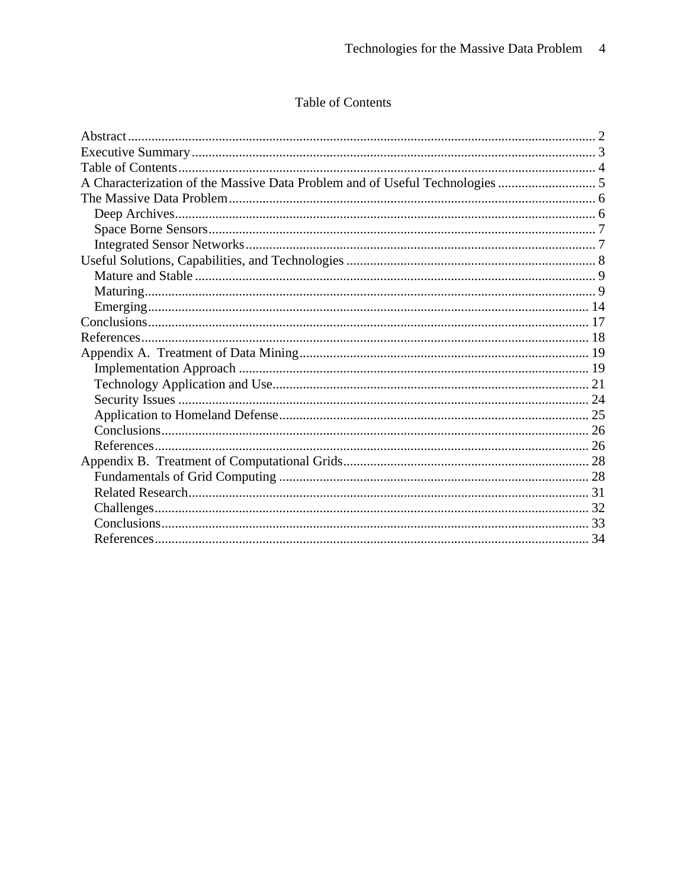# Table of Contents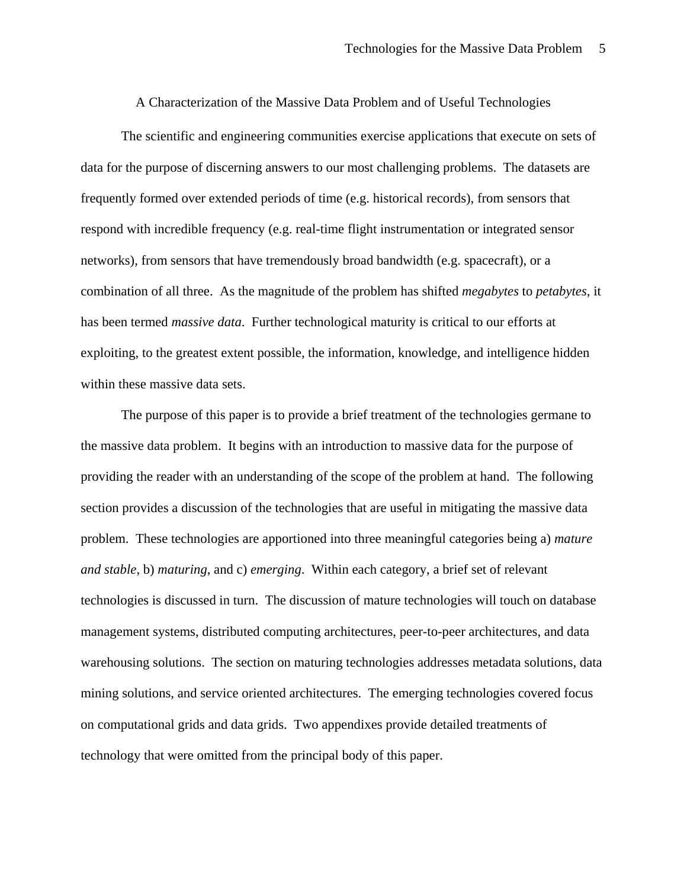A Characterization of the Massive Data Problem and of Useful Technologies

The scientific and engineering communities exercise applications that execute on sets of data for the purpose of discerning answers to our most challenging problems. The datasets are frequently formed over extended periods of time (e.g. historical records), from sensors that respond with incredible frequency (e.g. real-time flight instrumentation or integrated sensor networks), from sensors that have tremendously broad bandwidth (e.g. spacecraft), or a combination of all three. As the magnitude of the problem has shifted *megabytes* to *petabytes*, it has been termed *massive data*. Further technological maturity is critical to our efforts at exploiting, to the greatest extent possible, the information, knowledge, and intelligence hidden within these massive data sets.

The purpose of this paper is to provide a brief treatment of the technologies germane to the massive data problem. It begins with an introduction to massive data for the purpose of providing the reader with an understanding of the scope of the problem at hand. The following section provides a discussion of the technologies that are useful in mitigating the massive data problem. These technologies are apportioned into three meaningful categories being a) *mature and stable*, b) *maturing*, and c) *emerging*. Within each category, a brief set of relevant technologies is discussed in turn. The discussion of mature technologies will touch on database management systems, distributed computing architectures, peer-to-peer architectures, and data warehousing solutions. The section on maturing technologies addresses metadata solutions, data mining solutions, and service oriented architectures. The emerging technologies covered focus on computational grids and data grids. Two appendixes provide detailed treatments of technology that were omitted from the principal body of this paper.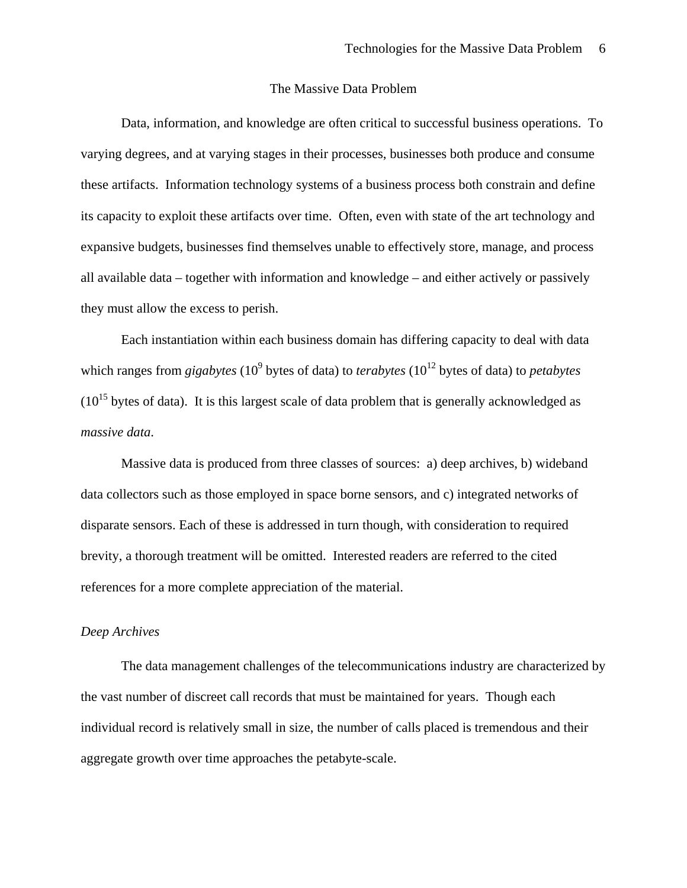# The Massive Data Problem

Data, information, and knowledge are often critical to successful business operations. To varying degrees, and at varying stages in their processes, businesses both produce and consume these artifacts. Information technology systems of a business process both constrain and define its capacity to exploit these artifacts over time. Often, even with state of the art technology and expansive budgets, businesses find themselves unable to effectively store, manage, and process all available data – together with information and knowledge – and either actively or passively they must allow the excess to perish.

Each instantiation within each business domain has differing capacity to deal with data which ranges from *gigabytes* (10<sup>9</sup> bytes of data) to *terabytes* (10<sup>12</sup> bytes of data) to *petabytes*  $(10^{15}$  bytes of data). It is this largest scale of data problem that is generally acknowledged as *massive data*.

Massive data is produced from three classes of sources: a) deep archives, b) wideband data collectors such as those employed in space borne sensors, and c) integrated networks of disparate sensors. Each of these is addressed in turn though, with consideration to required brevity, a thorough treatment will be omitted. Interested readers are referred to the cited references for a more complete appreciation of the material.

#### *Deep Archives*

The data management challenges of the telecommunications industry are characterized by the vast number of discreet call records that must be maintained for years. Though each individual record is relatively small in size, the number of calls placed is tremendous and their aggregate growth over time approaches the petabyte-scale.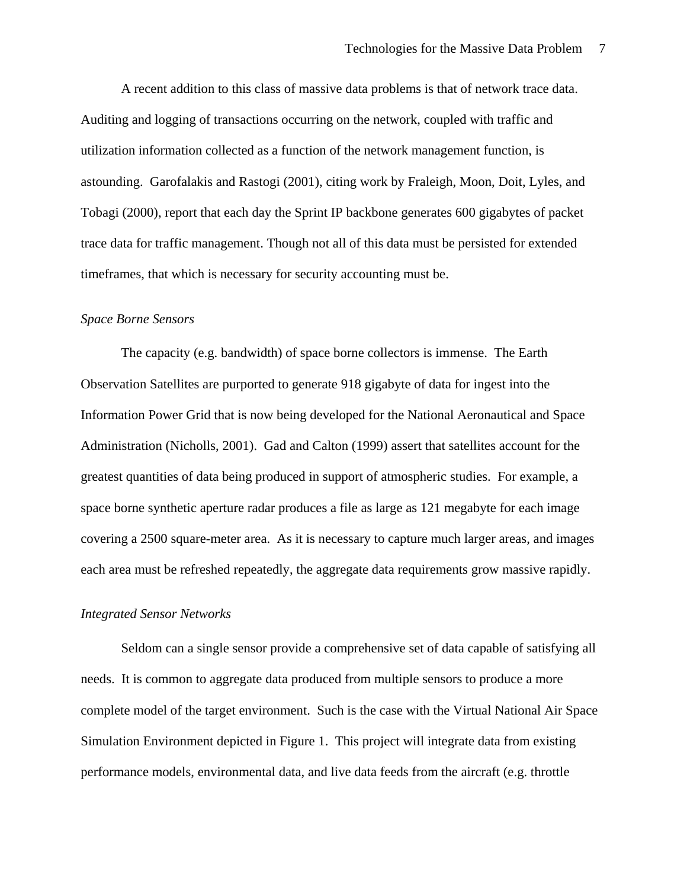A recent addition to this class of massive data problems is that of network trace data. Auditing and logging of transactions occurring on the network, coupled with traffic and utilization information collected as a function of the network management function, is astounding. Garofalakis and Rastogi (2001), citing work by Fraleigh, Moon, Doit, Lyles, and Tobagi (2000), report that each day the Sprint IP backbone generates 600 gigabytes of packet trace data for traffic management. Though not all of this data must be persisted for extended timeframes, that which is necessary for security accounting must be.

#### *Space Borne Sensors*

The capacity (e.g. bandwidth) of space borne collectors is immense. The Earth Observation Satellites are purported to generate 918 gigabyte of data for ingest into the Information Power Grid that is now being developed for the National Aeronautical and Space Administration (Nicholls, 2001). Gad and Calton (1999) assert that satellites account for the greatest quantities of data being produced in support of atmospheric studies. For example, a space borne synthetic aperture radar produces a file as large as 121 megabyte for each image covering a 2500 square-meter area. As it is necessary to capture much larger areas, and images each area must be refreshed repeatedly, the aggregate data requirements grow massive rapidly.

#### *Integrated Sensor Networks*

Seldom can a single sensor provide a comprehensive set of data capable of satisfying all needs. It is common to aggregate data produced from multiple sensors to produce a more complete model of the target environment. Such is the case with the Virtual National Air Space Simulation Environment depicted in Figure 1. This project will integrate data from existing performance models, environmental data, and live data feeds from the aircraft (e.g. throttle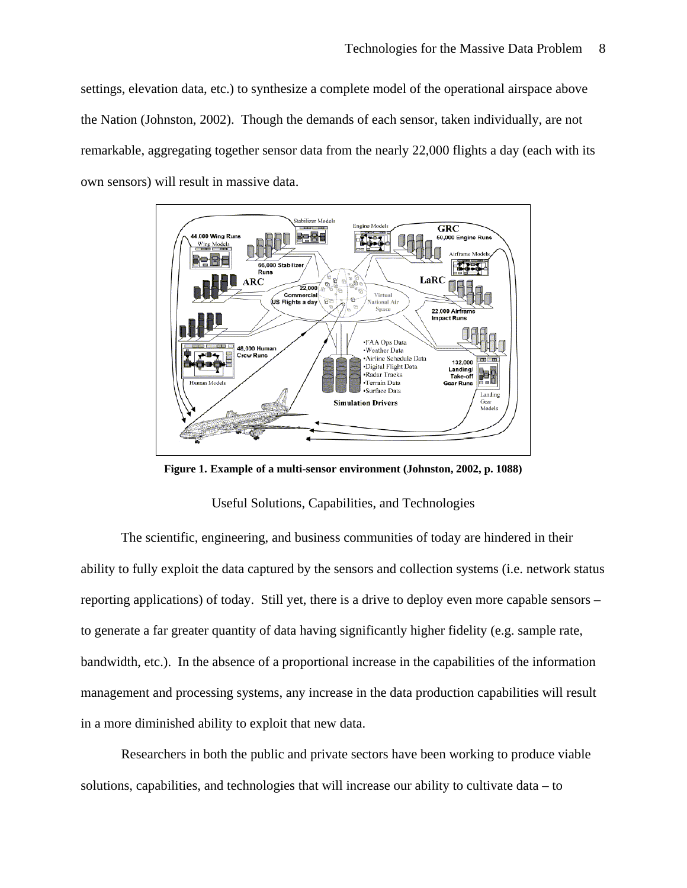settings, elevation data, etc.) to synthesize a complete model of the operational airspace above the Nation (Johnston, 2002). Though the demands of each sensor, taken individually, are not remarkable, aggregating together sensor data from the nearly 22,000 flights a day (each with its own sensors) will result in massive data.



**Figure 1. Example of a multi-sensor environment (Johnston, 2002, p. 1088)** 

#### Useful Solutions, Capabilities, and Technologies

The scientific, engineering, and business communities of today are hindered in their ability to fully exploit the data captured by the sensors and collection systems (i.e. network status reporting applications) of today. Still yet, there is a drive to deploy even more capable sensors – to generate a far greater quantity of data having significantly higher fidelity (e.g. sample rate, bandwidth, etc.). In the absence of a proportional increase in the capabilities of the information management and processing systems, any increase in the data production capabilities will result in a more diminished ability to exploit that new data.

Researchers in both the public and private sectors have been working to produce viable solutions, capabilities, and technologies that will increase our ability to cultivate data – to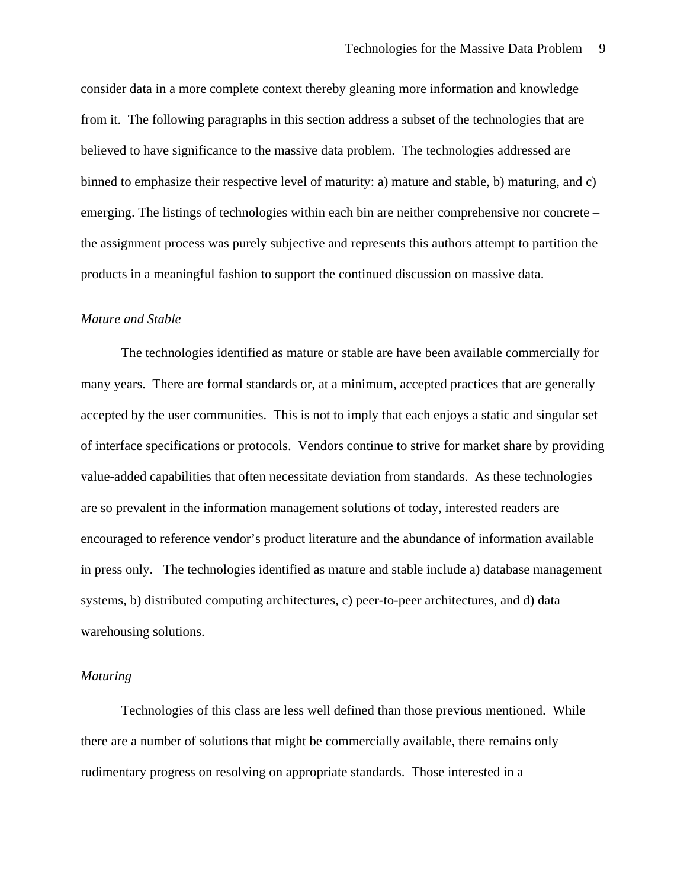consider data in a more complete context thereby gleaning more information and knowledge from it. The following paragraphs in this section address a subset of the technologies that are believed to have significance to the massive data problem. The technologies addressed are binned to emphasize their respective level of maturity: a) mature and stable, b) maturing, and c) emerging. The listings of technologies within each bin are neither comprehensive nor concrete – the assignment process was purely subjective and represents this authors attempt to partition the products in a meaningful fashion to support the continued discussion on massive data.

#### *Mature and Stable*

The technologies identified as mature or stable are have been available commercially for many years. There are formal standards or, at a minimum, accepted practices that are generally accepted by the user communities. This is not to imply that each enjoys a static and singular set of interface specifications or protocols. Vendors continue to strive for market share by providing value-added capabilities that often necessitate deviation from standards. As these technologies are so prevalent in the information management solutions of today, interested readers are encouraged to reference vendor's product literature and the abundance of information available in press only. The technologies identified as mature and stable include a) database management systems, b) distributed computing architectures, c) peer-to-peer architectures, and d) data warehousing solutions.

#### *Maturing*

Technologies of this class are less well defined than those previous mentioned. While there are a number of solutions that might be commercially available, there remains only rudimentary progress on resolving on appropriate standards. Those interested in a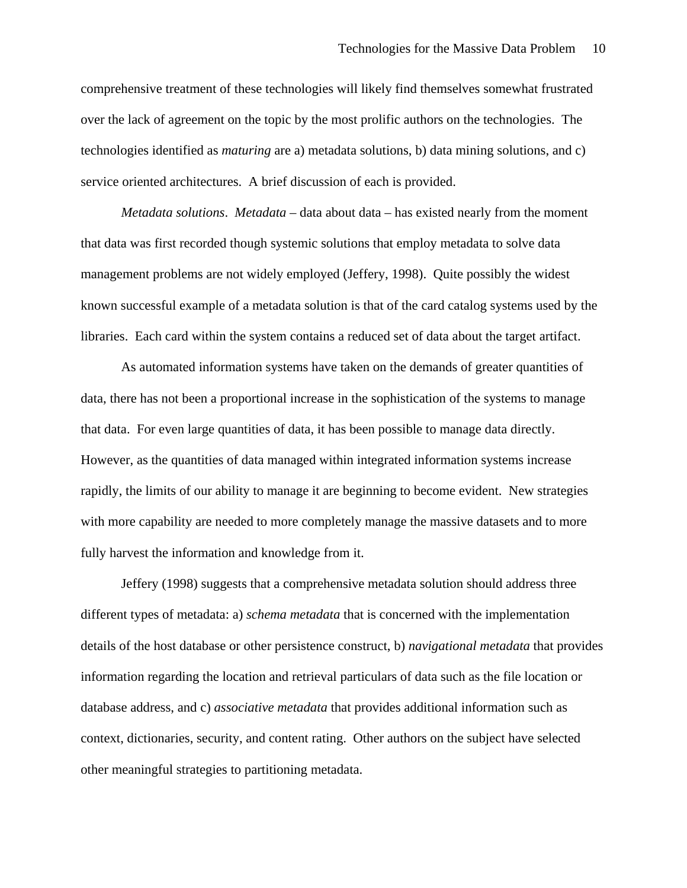comprehensive treatment of these technologies will likely find themselves somewhat frustrated over the lack of agreement on the topic by the most prolific authors on the technologies. The technologies identified as *maturing* are a) metadata solutions, b) data mining solutions, and c) service oriented architectures. A brief discussion of each is provided.

*Metadata solutions*. *Metadata* – data about data – has existed nearly from the moment that data was first recorded though systemic solutions that employ metadata to solve data management problems are not widely employed (Jeffery, 1998). Quite possibly the widest known successful example of a metadata solution is that of the card catalog systems used by the libraries. Each card within the system contains a reduced set of data about the target artifact.

As automated information systems have taken on the demands of greater quantities of data, there has not been a proportional increase in the sophistication of the systems to manage that data. For even large quantities of data, it has been possible to manage data directly. However, as the quantities of data managed within integrated information systems increase rapidly, the limits of our ability to manage it are beginning to become evident. New strategies with more capability are needed to more completely manage the massive datasets and to more fully harvest the information and knowledge from it.

Jeffery (1998) suggests that a comprehensive metadata solution should address three different types of metadata: a) *schema metadata* that is concerned with the implementation details of the host database or other persistence construct, b) *navigational metadata* that provides information regarding the location and retrieval particulars of data such as the file location or database address, and c) *associative metadata* that provides additional information such as context, dictionaries, security, and content rating. Other authors on the subject have selected other meaningful strategies to partitioning metadata.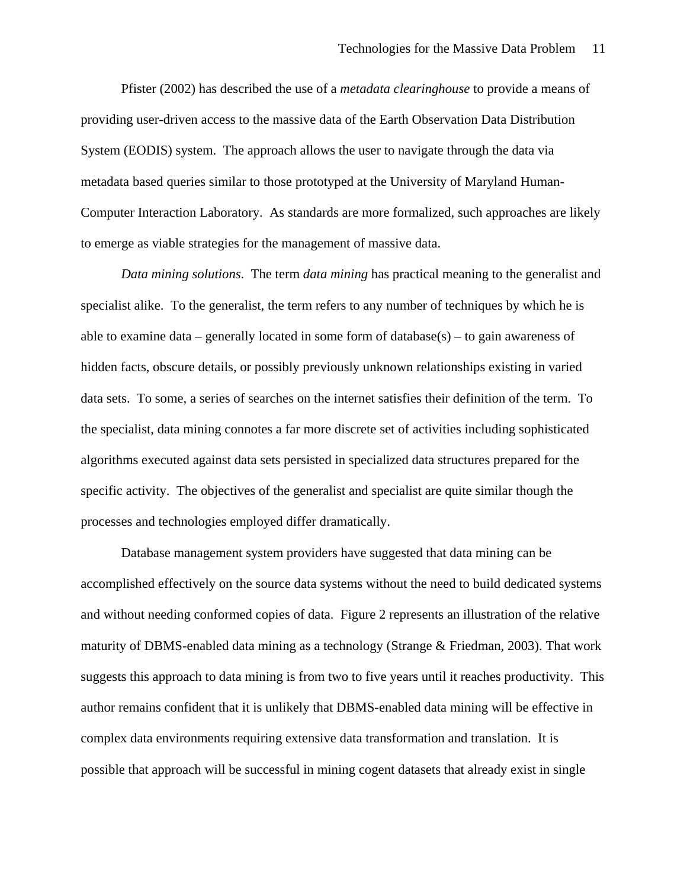Pfister (2002) has described the use of a *metadata clearinghouse* to provide a means of providing user-driven access to the massive data of the Earth Observation Data Distribution System (EODIS) system. The approach allows the user to navigate through the data via metadata based queries similar to those prototyped at the University of Maryland Human-Computer Interaction Laboratory. As standards are more formalized, such approaches are likely to emerge as viable strategies for the management of massive data.

*Data mining solutions*. The term *data mining* has practical meaning to the generalist and specialist alike. To the generalist, the term refers to any number of techniques by which he is able to examine data – generally located in some form of database $(s)$  – to gain awareness of hidden facts, obscure details, or possibly previously unknown relationships existing in varied data sets. To some, a series of searches on the internet satisfies their definition of the term. To the specialist, data mining connotes a far more discrete set of activities including sophisticated algorithms executed against data sets persisted in specialized data structures prepared for the specific activity. The objectives of the generalist and specialist are quite similar though the processes and technologies employed differ dramatically.

Database management system providers have suggested that data mining can be accomplished effectively on the source data systems without the need to build dedicated systems and without needing conformed copies of data. Figure 2 represents an illustration of the relative maturity of DBMS-enabled data mining as a technology (Strange & Friedman, 2003). That work suggests this approach to data mining is from two to five years until it reaches productivity. This author remains confident that it is unlikely that DBMS-enabled data mining will be effective in complex data environments requiring extensive data transformation and translation. It is possible that approach will be successful in mining cogent datasets that already exist in single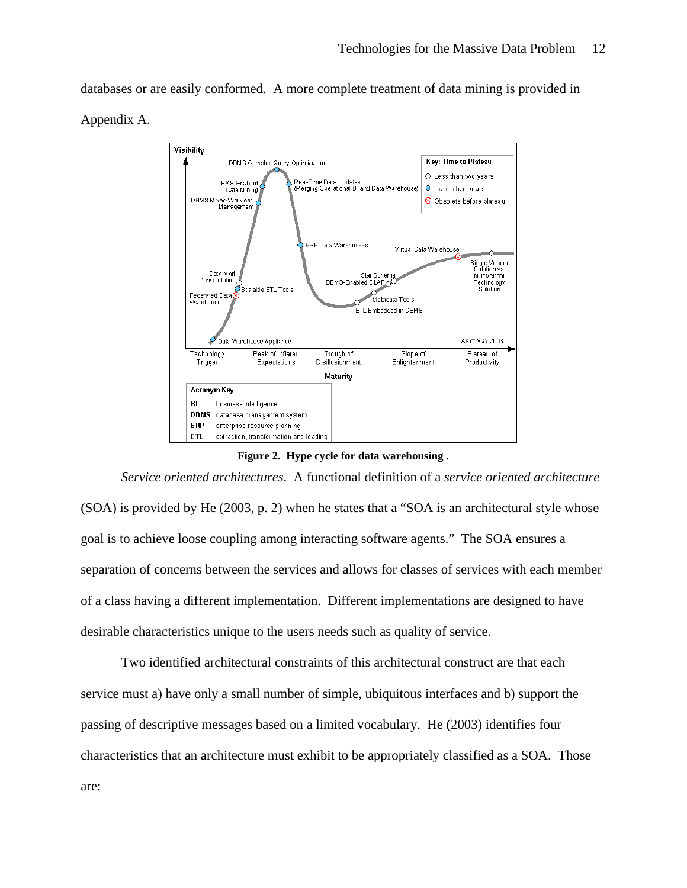databases or are easily conformed. A more complete treatment of data mining is provided in Appendix A.



**Figure 2. Hype cycle for data warehousing .** 

*Service oriented architectures*. A functional definition of a *service oriented architecture* (SOA) is provided by He (2003, p. 2) when he states that a "SOA is an architectural style whose goal is to achieve loose coupling among interacting software agents." The SOA ensures a separation of concerns between the services and allows for classes of services with each member of a class having a different implementation. Different implementations are designed to have desirable characteristics unique to the users needs such as quality of service.

Two identified architectural constraints of this architectural construct are that each service must a) have only a small number of simple, ubiquitous interfaces and b) support the passing of descriptive messages based on a limited vocabulary. He (2003) identifies four characteristics that an architecture must exhibit to be appropriately classified as a SOA. Those are: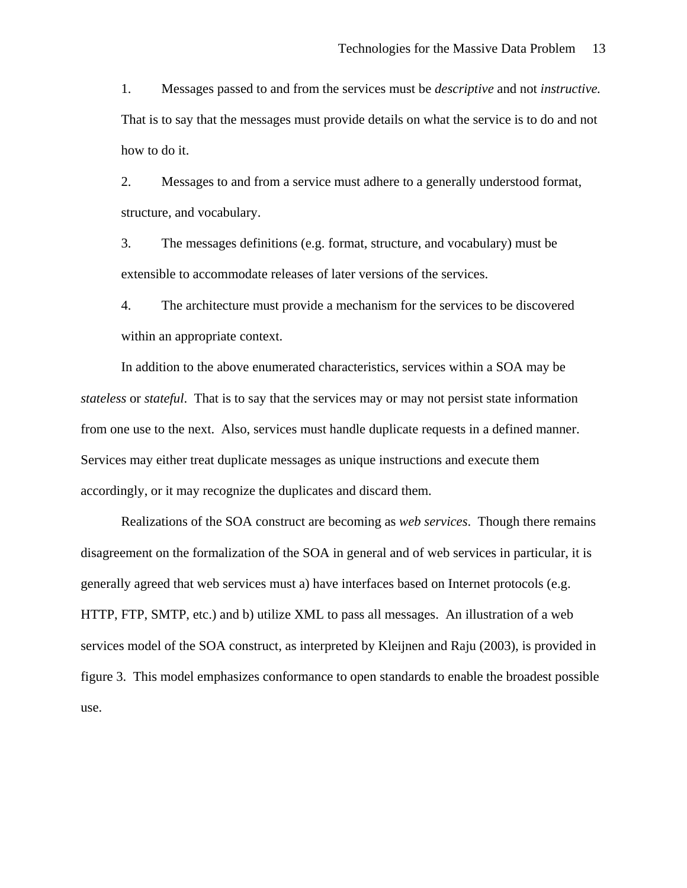1. Messages passed to and from the services must be *descriptive* and not *instructive.*  That is to say that the messages must provide details on what the service is to do and not how to do it.

2. Messages to and from a service must adhere to a generally understood format, structure, and vocabulary.

3. The messages definitions (e.g. format, structure, and vocabulary) must be extensible to accommodate releases of later versions of the services.

4. The architecture must provide a mechanism for the services to be discovered within an appropriate context.

In addition to the above enumerated characteristics, services within a SOA may be *stateless* or *stateful*. That is to say that the services may or may not persist state information from one use to the next. Also, services must handle duplicate requests in a defined manner. Services may either treat duplicate messages as unique instructions and execute them accordingly, or it may recognize the duplicates and discard them.

Realizations of the SOA construct are becoming as *web services*. Though there remains disagreement on the formalization of the SOA in general and of web services in particular, it is generally agreed that web services must a) have interfaces based on Internet protocols (e.g. HTTP, FTP, SMTP, etc.) and b) utilize XML to pass all messages. An illustration of a web services model of the SOA construct, as interpreted by Kleijnen and Raju (2003), is provided in figure 3. This model emphasizes conformance to open standards to enable the broadest possible use.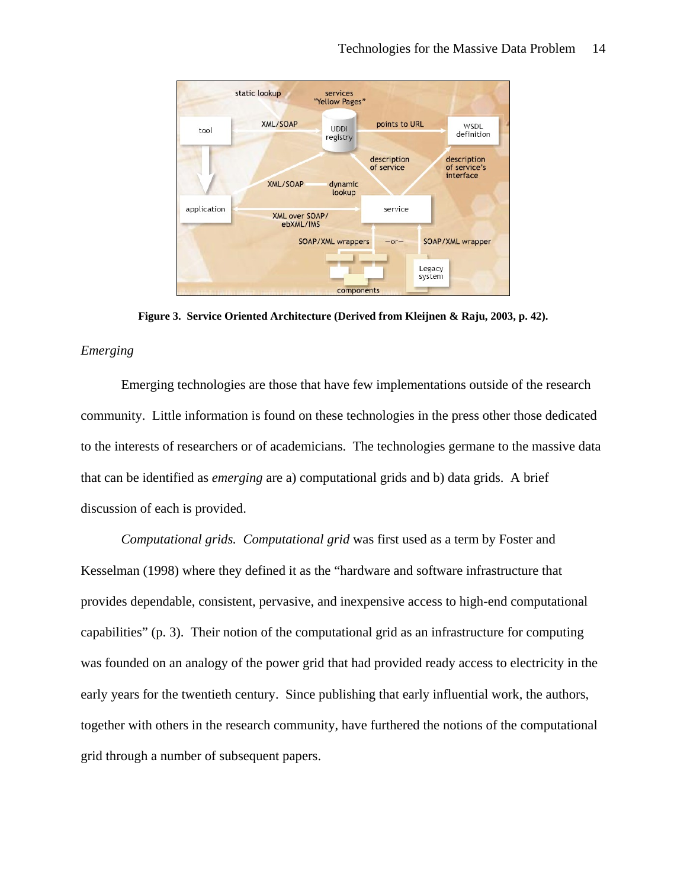

**Figure 3. Service Oriented Architecture (Derived from Kleijnen & Raju, 2003, p. 42).** 

### *Emerging*

Emerging technologies are those that have few implementations outside of the research community. Little information is found on these technologies in the press other those dedicated to the interests of researchers or of academicians. The technologies germane to the massive data that can be identified as *emerging* are a) computational grids and b) data grids. A brief discussion of each is provided.

*Computational grids. Computational grid* was first used as a term by Foster and Kesselman (1998) where they defined it as the "hardware and software infrastructure that provides dependable, consistent, pervasive, and inexpensive access to high-end computational capabilities" (p. 3). Their notion of the computational grid as an infrastructure for computing was founded on an analogy of the power grid that had provided ready access to electricity in the early years for the twentieth century. Since publishing that early influential work, the authors, together with others in the research community, have furthered the notions of the computational grid through a number of subsequent papers.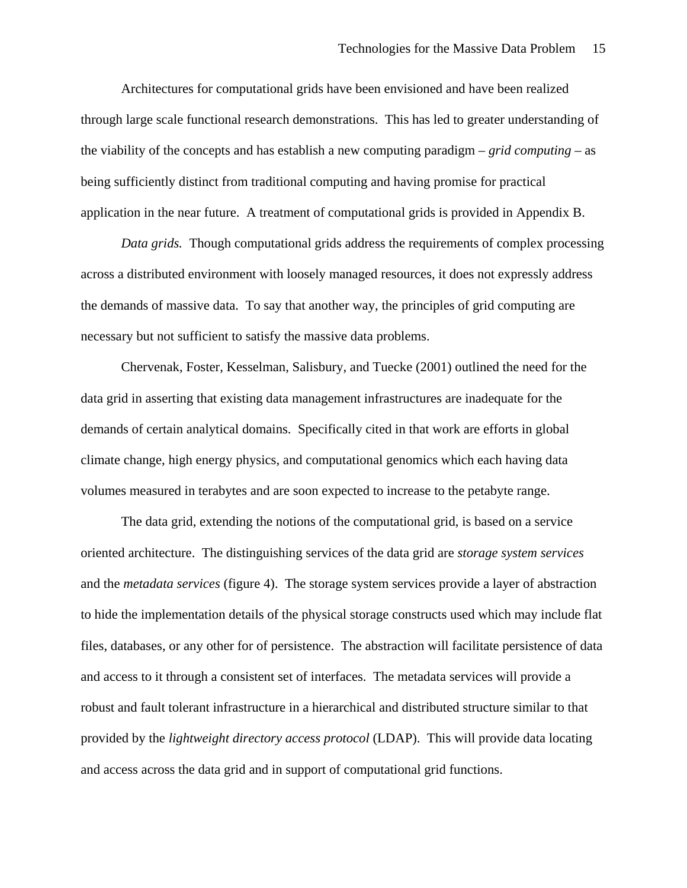Architectures for computational grids have been envisioned and have been realized through large scale functional research demonstrations. This has led to greater understanding of the viability of the concepts and has establish a new computing paradigm – *grid computing* – as being sufficiently distinct from traditional computing and having promise for practical application in the near future. A treatment of computational grids is provided in Appendix B.

*Data grids.* Though computational grids address the requirements of complex processing across a distributed environment with loosely managed resources, it does not expressly address the demands of massive data. To say that another way, the principles of grid computing are necessary but not sufficient to satisfy the massive data problems.

Chervenak, Foster, Kesselman, Salisbury, and Tuecke (2001) outlined the need for the data grid in asserting that existing data management infrastructures are inadequate for the demands of certain analytical domains. Specifically cited in that work are efforts in global climate change, high energy physics, and computational genomics which each having data volumes measured in terabytes and are soon expected to increase to the petabyte range.

The data grid, extending the notions of the computational grid, is based on a service oriented architecture. The distinguishing services of the data grid are *storage system services* and the *metadata services* (figure 4). The storage system services provide a layer of abstraction to hide the implementation details of the physical storage constructs used which may include flat files, databases, or any other for of persistence. The abstraction will facilitate persistence of data and access to it through a consistent set of interfaces. The metadata services will provide a robust and fault tolerant infrastructure in a hierarchical and distributed structure similar to that provided by the *lightweight directory access protocol* (LDAP). This will provide data locating and access across the data grid and in support of computational grid functions.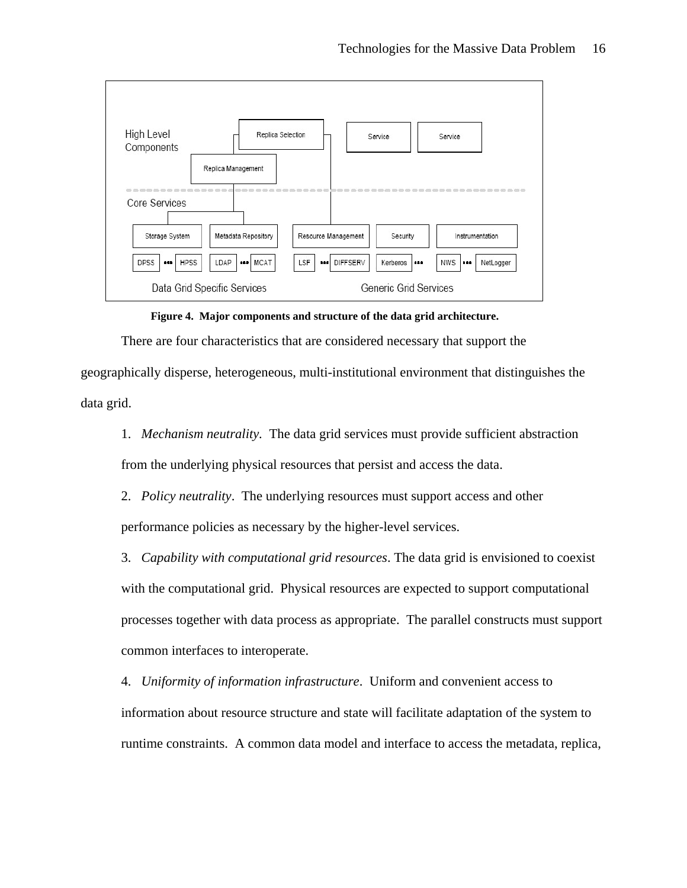

**Figure 4. Major components and structure of the data grid architecture.**

There are four characteristics that are considered necessary that support the

geographically disperse, heterogeneous, multi-institutional environment that distinguishes the data grid.

1. *Mechanism neutrality.* The data grid services must provide sufficient abstraction from the underlying physical resources that persist and access the data.

2. *Policy neutrality*. The underlying resources must support access and other performance policies as necessary by the higher-level services.

3. *Capability with computational grid resources*. The data grid is envisioned to coexist with the computational grid. Physical resources are expected to support computational processes together with data process as appropriate. The parallel constructs must support common interfaces to interoperate.

4. *Uniformity of information infrastructure*. Uniform and convenient access to information about resource structure and state will facilitate adaptation of the system to runtime constraints. A common data model and interface to access the metadata, replica,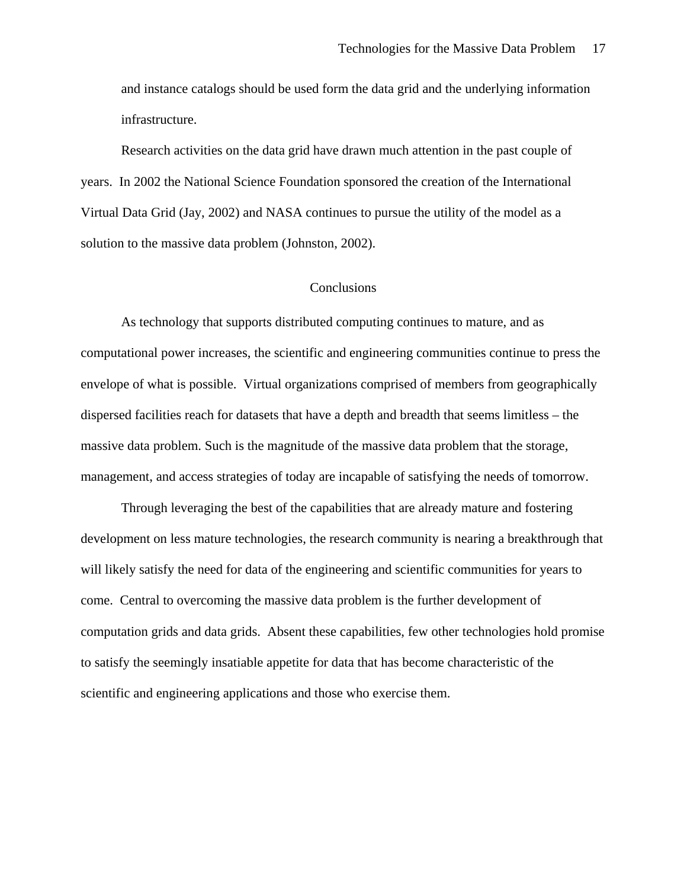and instance catalogs should be used form the data grid and the underlying information infrastructure.

Research activities on the data grid have drawn much attention in the past couple of years. In 2002 the National Science Foundation sponsored the creation of the International Virtual Data Grid (Jay, 2002) and NASA continues to pursue the utility of the model as a solution to the massive data problem (Johnston, 2002).

#### **Conclusions**

As technology that supports distributed computing continues to mature, and as computational power increases, the scientific and engineering communities continue to press the envelope of what is possible. Virtual organizations comprised of members from geographically dispersed facilities reach for datasets that have a depth and breadth that seems limitless – the massive data problem. Such is the magnitude of the massive data problem that the storage, management, and access strategies of today are incapable of satisfying the needs of tomorrow.

Through leveraging the best of the capabilities that are already mature and fostering development on less mature technologies, the research community is nearing a breakthrough that will likely satisfy the need for data of the engineering and scientific communities for years to come. Central to overcoming the massive data problem is the further development of computation grids and data grids. Absent these capabilities, few other technologies hold promise to satisfy the seemingly insatiable appetite for data that has become characteristic of the scientific and engineering applications and those who exercise them.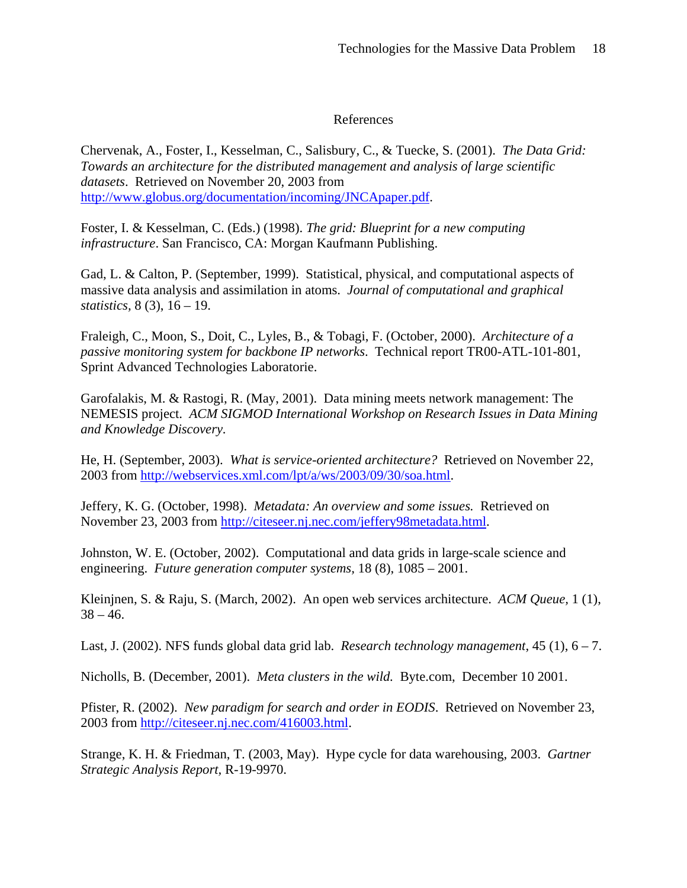# References

Chervenak, A., Foster, I., Kesselman, C., Salisbury, C., & Tuecke, S. (2001). *The Data Grid: Towards an architecture for the distributed management and analysis of large scientific datasets*. Retrieved on November 20, 2003 from http://www.globus.org/documentation/incoming/JNCApaper.pdf.

Foster, I. & Kesselman, C. (Eds.) (1998). *The grid: Blueprint for a new computing infrastructure*. San Francisco, CA: Morgan Kaufmann Publishing.

Gad, L. & Calton, P. (September, 1999). Statistical, physical, and computational aspects of massive data analysis and assimilation in atoms. *Journal of computational and graphical statistics,* 8 (3), 16 – 19.

Fraleigh, C., Moon, S., Doit, C., Lyles, B., & Tobagi, F. (October, 2000). *Architecture of a passive monitoring system for backbone IP networks*. Technical report TR00-ATL-101-801, Sprint Advanced Technologies Laboratorie.

Garofalakis, M. & Rastogi, R. (May, 2001). Data mining meets network management: The NEMESIS project. *ACM SIGMOD International Workshop on Research Issues in Data Mining and Knowledge Discovery.* 

He, H. (September, 2003). *What is service-oriented architecture?* Retrieved on November 22, 2003 from http://webservices.xml.com/lpt/a/ws/2003/09/30/soa.html.

Jeffery, K. G. (October, 1998). *Metadata: An overview and some issues.* Retrieved on November 23, 2003 from http://citeseer.nj.nec.com/jeffery98metadata.html.

Johnston, W. E. (October, 2002). Computational and data grids in large-scale science and engineering. *Future generation computer systems,* 18 (8), 1085 – 2001.

Kleinjnen, S. & Raju, S. (March, 2002). An open web services architecture. *ACM Queue,* 1 (1),  $38 - 46.$ 

Last, J. (2002). NFS funds global data grid lab. *Research technology management*, 45 (1), 6 – 7.

Nicholls, B. (December, 2001). *Meta clusters in the wild.* Byte.com, December 10 2001.

Pfister, R. (2002). *New paradigm for search and order in EODIS*. Retrieved on November 23, 2003 from http://citeseer.nj.nec.com/416003.html.

Strange, K. H. & Friedman, T. (2003, May). Hype cycle for data warehousing, 2003. *Gartner Strategic Analysis Report,* R-19-9970.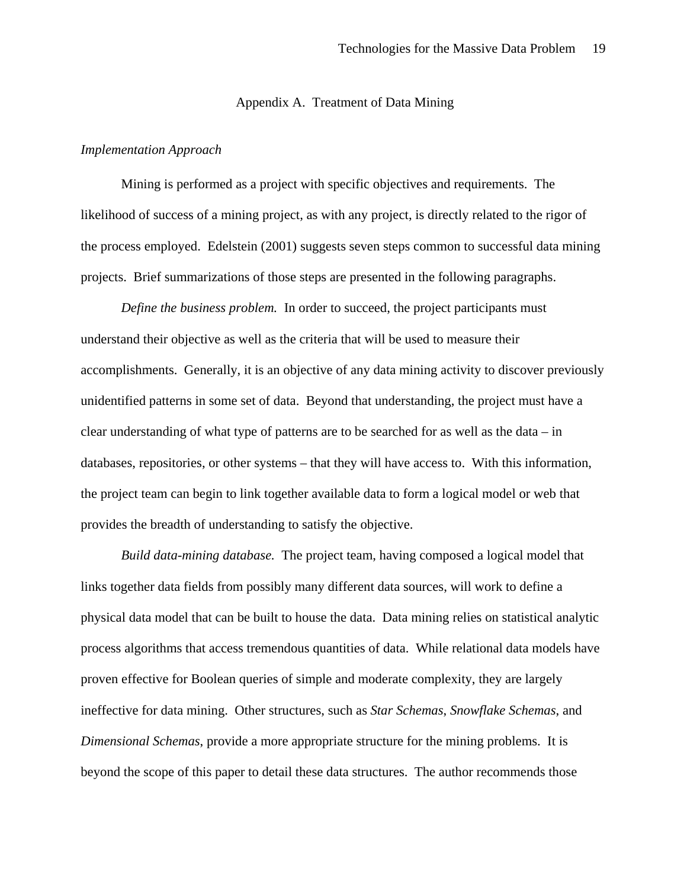#### Appendix A. Treatment of Data Mining

#### *Implementation Approach*

Mining is performed as a project with specific objectives and requirements. The likelihood of success of a mining project, as with any project, is directly related to the rigor of the process employed. Edelstein (2001) suggests seven steps common to successful data mining projects. Brief summarizations of those steps are presented in the following paragraphs.

*Define the business problem.* In order to succeed, the project participants must understand their objective as well as the criteria that will be used to measure their accomplishments. Generally, it is an objective of any data mining activity to discover previously unidentified patterns in some set of data. Beyond that understanding, the project must have a clear understanding of what type of patterns are to be searched for as well as the data – in databases, repositories, or other systems – that they will have access to. With this information, the project team can begin to link together available data to form a logical model or web that provides the breadth of understanding to satisfy the objective.

*Build data-mining database.* The project team, having composed a logical model that links together data fields from possibly many different data sources, will work to define a physical data model that can be built to house the data. Data mining relies on statistical analytic process algorithms that access tremendous quantities of data. While relational data models have proven effective for Boolean queries of simple and moderate complexity, they are largely ineffective for data mining. Other structures, such as *Star Schemas*, *Snowflake Schemas*, and *Dimensional Schemas*, provide a more appropriate structure for the mining problems. It is beyond the scope of this paper to detail these data structures. The author recommends those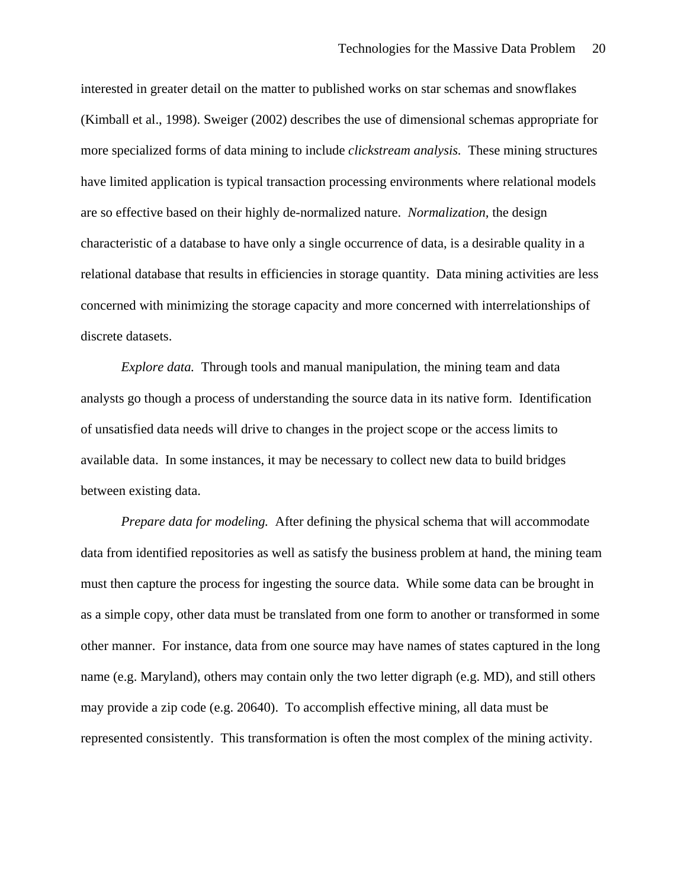interested in greater detail on the matter to published works on star schemas and snowflakes (Kimball et al., 1998). Sweiger (2002) describes the use of dimensional schemas appropriate for more specialized forms of data mining to include *clickstream analysis.* These mining structures have limited application is typical transaction processing environments where relational models are so effective based on their highly de-normalized nature. *Normalization,* the design characteristic of a database to have only a single occurrence of data, is a desirable quality in a relational database that results in efficiencies in storage quantity. Data mining activities are less concerned with minimizing the storage capacity and more concerned with interrelationships of discrete datasets.

*Explore data.* Through tools and manual manipulation, the mining team and data analysts go though a process of understanding the source data in its native form. Identification of unsatisfied data needs will drive to changes in the project scope or the access limits to available data. In some instances, it may be necessary to collect new data to build bridges between existing data.

*Prepare data for modeling.* After defining the physical schema that will accommodate data from identified repositories as well as satisfy the business problem at hand, the mining team must then capture the process for ingesting the source data. While some data can be brought in as a simple copy, other data must be translated from one form to another or transformed in some other manner. For instance, data from one source may have names of states captured in the long name (e.g. Maryland), others may contain only the two letter digraph (e.g. MD), and still others may provide a zip code (e.g. 20640). To accomplish effective mining, all data must be represented consistently. This transformation is often the most complex of the mining activity.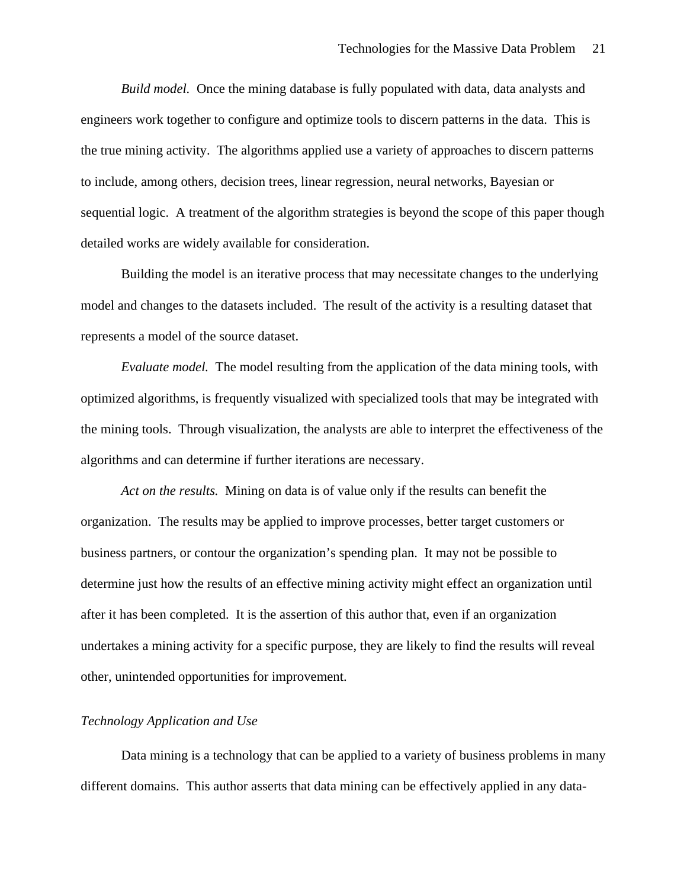*Build model.* Once the mining database is fully populated with data, data analysts and engineers work together to configure and optimize tools to discern patterns in the data. This is the true mining activity. The algorithms applied use a variety of approaches to discern patterns to include, among others, decision trees, linear regression, neural networks, Bayesian or sequential logic. A treatment of the algorithm strategies is beyond the scope of this paper though detailed works are widely available for consideration.

Building the model is an iterative process that may necessitate changes to the underlying model and changes to the datasets included. The result of the activity is a resulting dataset that represents a model of the source dataset.

*Evaluate model.* The model resulting from the application of the data mining tools, with optimized algorithms, is frequently visualized with specialized tools that may be integrated with the mining tools. Through visualization, the analysts are able to interpret the effectiveness of the algorithms and can determine if further iterations are necessary.

*Act on the results.* Mining on data is of value only if the results can benefit the organization. The results may be applied to improve processes, better target customers or business partners, or contour the organization's spending plan. It may not be possible to determine just how the results of an effective mining activity might effect an organization until after it has been completed. It is the assertion of this author that, even if an organization undertakes a mining activity for a specific purpose, they are likely to find the results will reveal other, unintended opportunities for improvement.

### *Technology Application and Use*

Data mining is a technology that can be applied to a variety of business problems in many different domains. This author asserts that data mining can be effectively applied in any data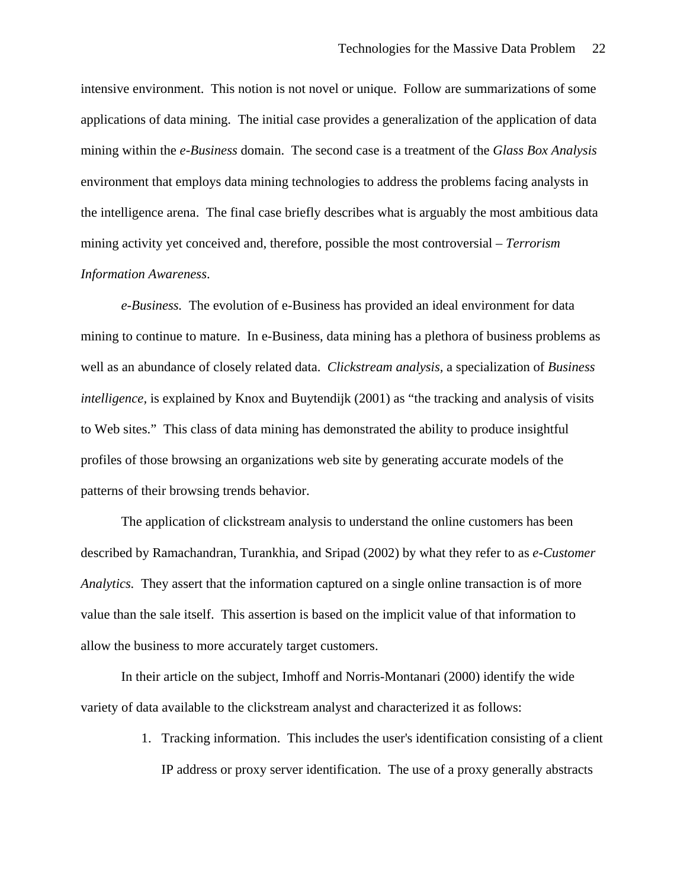intensive environment. This notion is not novel or unique. Follow are summarizations of some applications of data mining. The initial case provides a generalization of the application of data mining within the *e-Business* domain. The second case is a treatment of the *Glass Box Analysis*  environment that employs data mining technologies to address the problems facing analysts in the intelligence arena. The final case briefly describes what is arguably the most ambitious data mining activity yet conceived and, therefore, possible the most controversial – *Terrorism Information Awareness*.

*e-Business.* The evolution of e-Business has provided an ideal environment for data mining to continue to mature. In e-Business, data mining has a plethora of business problems as well as an abundance of closely related data. *Clickstream analysis,* a specialization of *Business intelligence,* is explained by Knox and Buytendijk (2001) as "the tracking and analysis of visits to Web sites." This class of data mining has demonstrated the ability to produce insightful profiles of those browsing an organizations web site by generating accurate models of the patterns of their browsing trends behavior.

The application of clickstream analysis to understand the online customers has been described by Ramachandran, Turankhia, and Sripad (2002) by what they refer to as *e-Customer Analytics.* They assert that the information captured on a single online transaction is of more value than the sale itself. This assertion is based on the implicit value of that information to allow the business to more accurately target customers.

In their article on the subject, Imhoff and Norris-Montanari (2000) identify the wide variety of data available to the clickstream analyst and characterized it as follows:

> 1. Tracking information. This includes the user's identification consisting of a client IP address or proxy server identification. The use of a proxy generally abstracts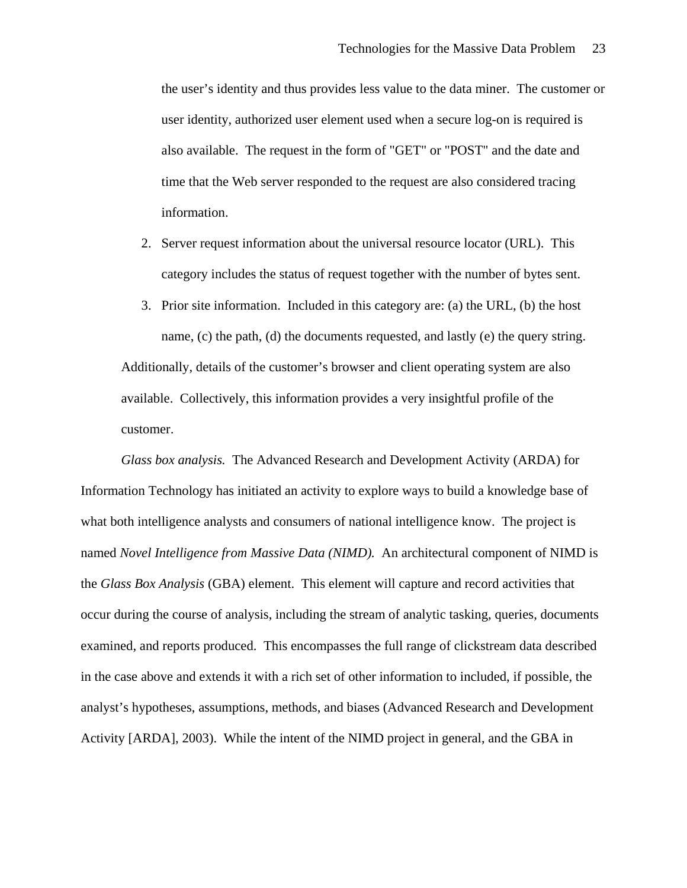the user's identity and thus provides less value to the data miner. The customer or user identity, authorized user element used when a secure log-on is required is also available. The request in the form of "GET" or "POST" and the date and time that the Web server responded to the request are also considered tracing information.

- 2. Server request information about the universal resource locator (URL). This category includes the status of request together with the number of bytes sent.
- 3. Prior site information. Included in this category are: (a) the URL, (b) the host name, (c) the path, (d) the documents requested, and lastly (e) the query string. Additionally, details of the customer's browser and client operating system are also available. Collectively, this information provides a very insightful profile of the customer.

*Glass box analysis.* The Advanced Research and Development Activity (ARDA) for Information Technology has initiated an activity to explore ways to build a knowledge base of what both intelligence analysts and consumers of national intelligence know. The project is named *Novel Intelligence from Massive Data (NIMD).* An architectural component of NIMD is the *Glass Box Analysis* (GBA) element. This element will capture and record activities that occur during the course of analysis, including the stream of analytic tasking, queries, documents examined, and reports produced. This encompasses the full range of clickstream data described in the case above and extends it with a rich set of other information to included, if possible, the analyst's hypotheses, assumptions, methods, and biases (Advanced Research and Development Activity [ARDA], 2003). While the intent of the NIMD project in general, and the GBA in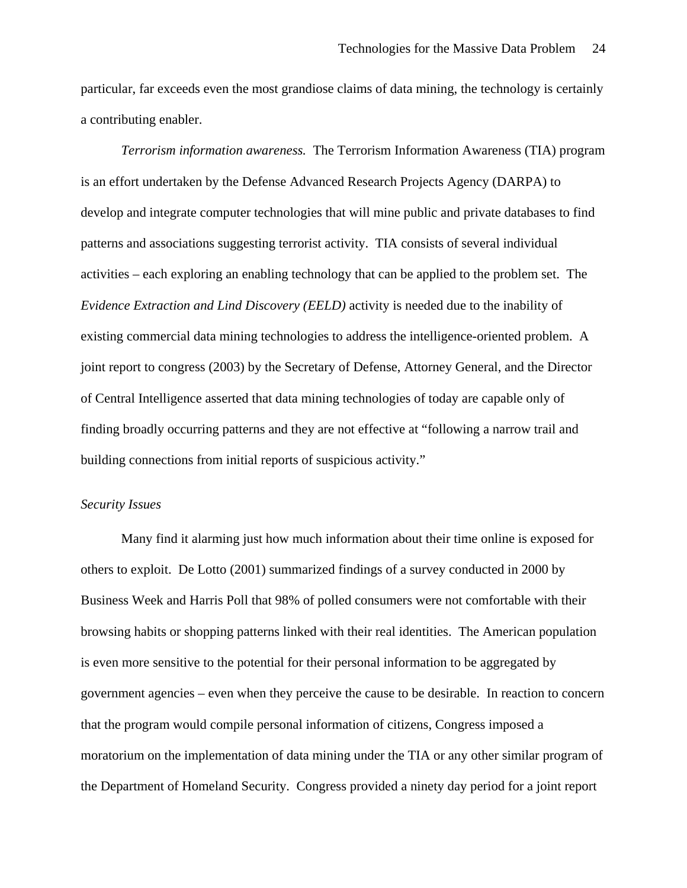particular, far exceeds even the most grandiose claims of data mining, the technology is certainly a contributing enabler.

*Terrorism information awareness.* The Terrorism Information Awareness (TIA) program is an effort undertaken by the Defense Advanced Research Projects Agency (DARPA) to develop and integrate computer technologies that will mine public and private databases to find patterns and associations suggesting terrorist activity. TIA consists of several individual activities – each exploring an enabling technology that can be applied to the problem set. The *Evidence Extraction and Lind Discovery (EELD)* activity is needed due to the inability of existing commercial data mining technologies to address the intelligence-oriented problem. A joint report to congress (2003) by the Secretary of Defense, Attorney General, and the Director of Central Intelligence asserted that data mining technologies of today are capable only of finding broadly occurring patterns and they are not effective at "following a narrow trail and building connections from initial reports of suspicious activity."

#### *Security Issues*

Many find it alarming just how much information about their time online is exposed for others to exploit. De Lotto (2001) summarized findings of a survey conducted in 2000 by Business Week and Harris Poll that 98% of polled consumers were not comfortable with their browsing habits or shopping patterns linked with their real identities. The American population is even more sensitive to the potential for their personal information to be aggregated by government agencies – even when they perceive the cause to be desirable. In reaction to concern that the program would compile personal information of citizens, Congress imposed a moratorium on the implementation of data mining under the TIA or any other similar program of the Department of Homeland Security. Congress provided a ninety day period for a joint report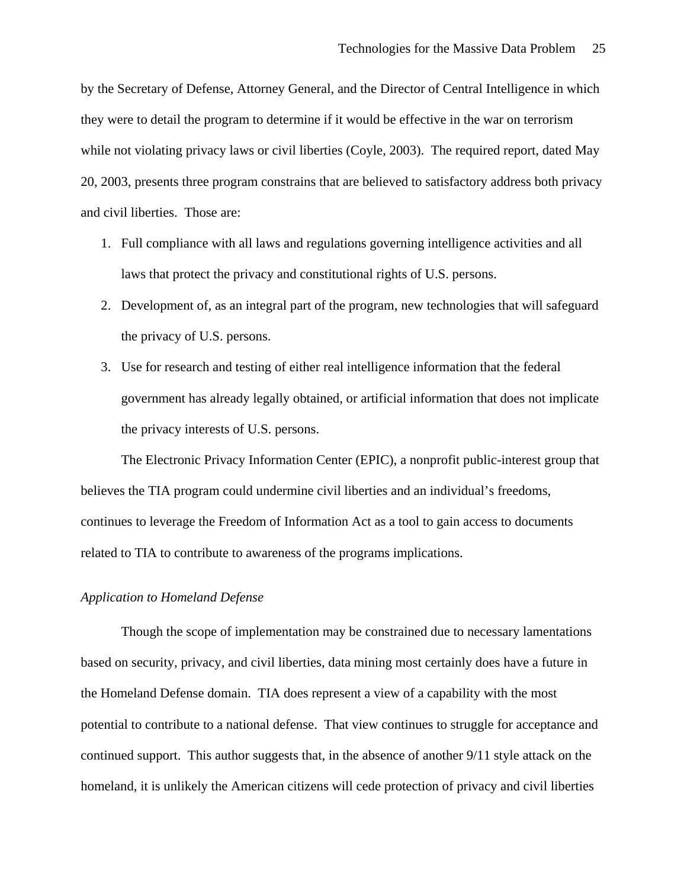by the Secretary of Defense, Attorney General, and the Director of Central Intelligence in which they were to detail the program to determine if it would be effective in the war on terrorism while not violating privacy laws or civil liberties (Coyle, 2003). The required report, dated May 20, 2003, presents three program constrains that are believed to satisfactory address both privacy and civil liberties. Those are:

- 1. Full compliance with all laws and regulations governing intelligence activities and all laws that protect the privacy and constitutional rights of U.S. persons.
- 2. Development of, as an integral part of the program, new technologies that will safeguard the privacy of U.S. persons.
- 3. Use for research and testing of either real intelligence information that the federal government has already legally obtained, or artificial information that does not implicate the privacy interests of U.S. persons.

The Electronic Privacy Information Center (EPIC), a nonprofit public-interest group that believes the TIA program could undermine civil liberties and an individual's freedoms, continues to leverage the Freedom of Information Act as a tool to gain access to documents related to TIA to contribute to awareness of the programs implications.

#### *Application to Homeland Defense*

Though the scope of implementation may be constrained due to necessary lamentations based on security, privacy, and civil liberties, data mining most certainly does have a future in the Homeland Defense domain. TIA does represent a view of a capability with the most potential to contribute to a national defense. That view continues to struggle for acceptance and continued support. This author suggests that, in the absence of another 9/11 style attack on the homeland, it is unlikely the American citizens will cede protection of privacy and civil liberties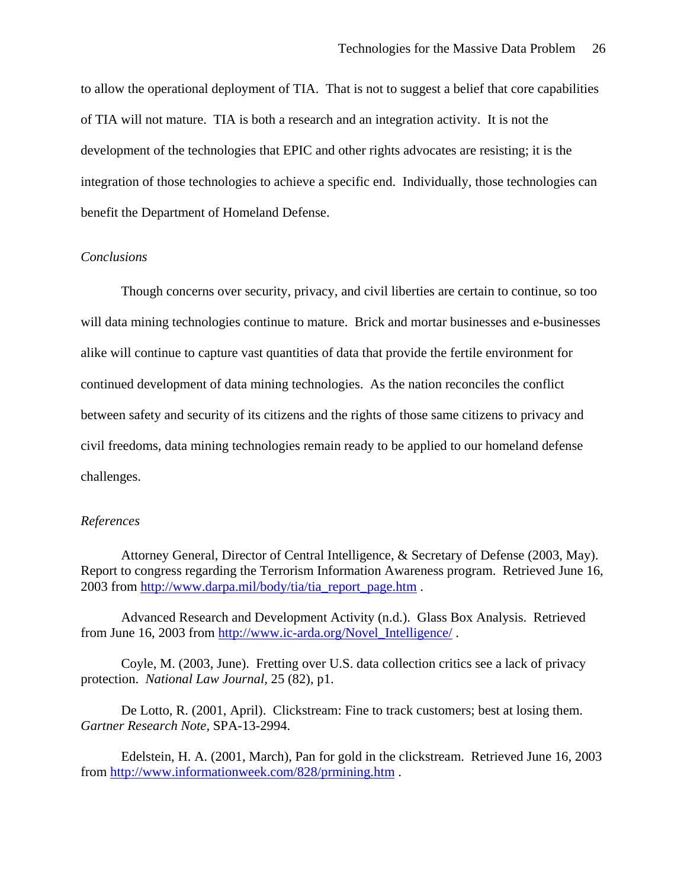to allow the operational deployment of TIA. That is not to suggest a belief that core capabilities of TIA will not mature. TIA is both a research and an integration activity. It is not the development of the technologies that EPIC and other rights advocates are resisting; it is the integration of those technologies to achieve a specific end. Individually, those technologies can benefit the Department of Homeland Defense.

#### *Conclusions*

Though concerns over security, privacy, and civil liberties are certain to continue, so too will data mining technologies continue to mature. Brick and mortar businesses and e-businesses alike will continue to capture vast quantities of data that provide the fertile environment for continued development of data mining technologies. As the nation reconciles the conflict between safety and security of its citizens and the rights of those same citizens to privacy and civil freedoms, data mining technologies remain ready to be applied to our homeland defense challenges.

#### *References*

Attorney General, Director of Central Intelligence, & Secretary of Defense (2003, May). Report to congress regarding the Terrorism Information Awareness program. Retrieved June 16, 2003 from http://www.darpa.mil/body/tia/tia\_report\_page.htm .

Advanced Research and Development Activity (n.d.). Glass Box Analysis. Retrieved from June 16, 2003 from http://www.ic-arda.org/Novel\_Intelligence/ .

Coyle, M. (2003, June). Fretting over U.S. data collection critics see a lack of privacy protection. *National Law Journal,* 25 (82), p1.

De Lotto, R. (2001, April). Clickstream: Fine to track customers; best at losing them. *Gartner Research Note,* SPA-13-2994.

Edelstein, H. A. (2001, March), Pan for gold in the clickstream. Retrieved June 16, 2003 from http://www.informationweek.com/828/prmining.htm .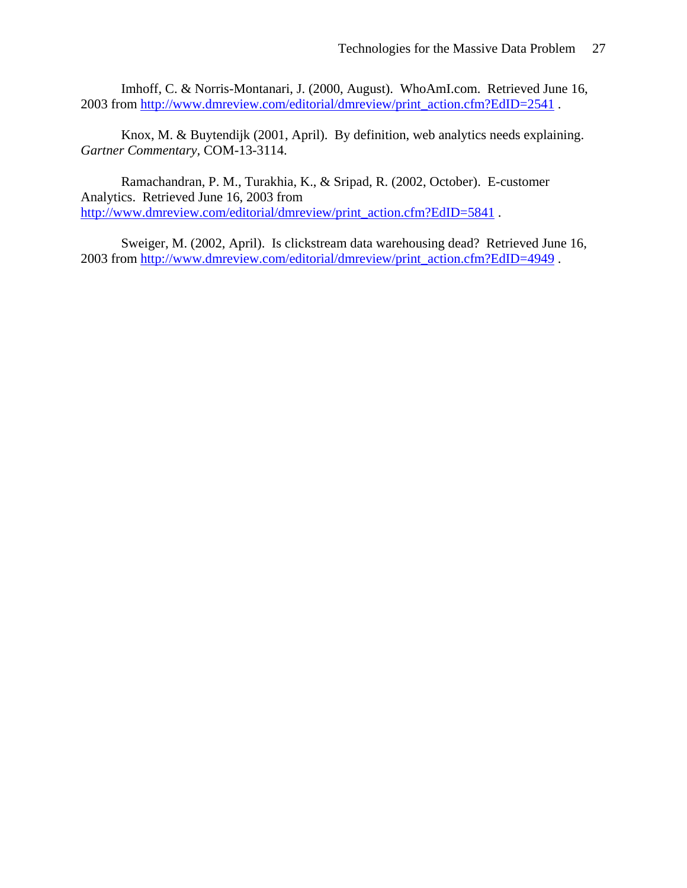Imhoff, C. & Norris-Montanari, J. (2000, August). WhoAmI.com. Retrieved June 16, 2003 from http://www.dmreview.com/editorial/dmreview/print\_action.cfm?EdID=2541 .

Knox, M. & Buytendijk (2001, April). By definition, web analytics needs explaining. *Gartner Commentary,* COM-13-3114.

Ramachandran, P. M., Turakhia, K., & Sripad, R. (2002, October). E-customer Analytics. Retrieved June 16, 2003 from http://www.dmreview.com/editorial/dmreview/print\_action.cfm?EdID=5841 .

Sweiger, M. (2002, April). Is clickstream data warehousing dead? Retrieved June 16, 2003 from http://www.dmreview.com/editorial/dmreview/print\_action.cfm?EdID=4949 .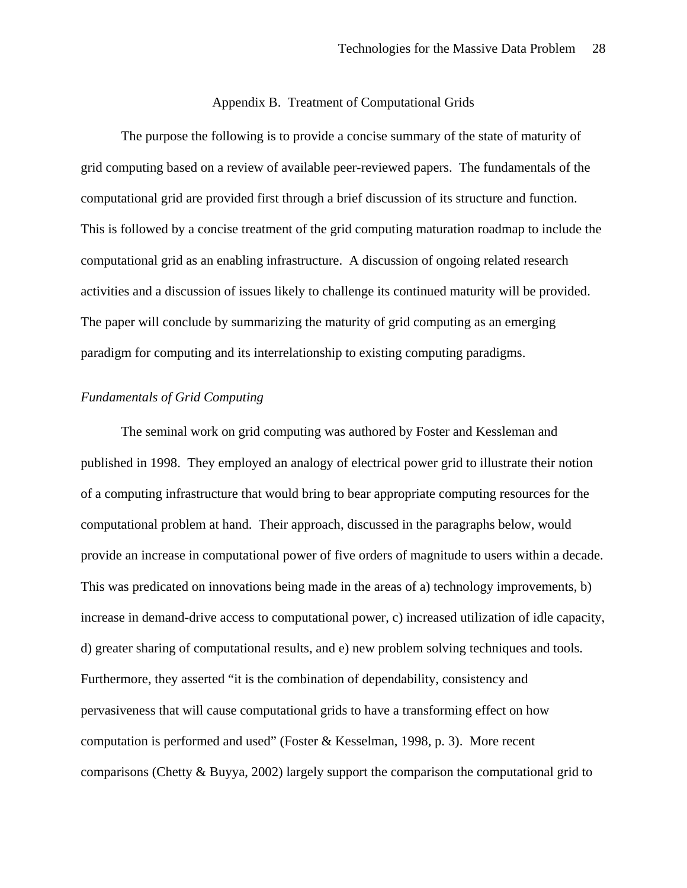#### Appendix B. Treatment of Computational Grids

The purpose the following is to provide a concise summary of the state of maturity of grid computing based on a review of available peer-reviewed papers. The fundamentals of the computational grid are provided first through a brief discussion of its structure and function. This is followed by a concise treatment of the grid computing maturation roadmap to include the computational grid as an enabling infrastructure. A discussion of ongoing related research activities and a discussion of issues likely to challenge its continued maturity will be provided. The paper will conclude by summarizing the maturity of grid computing as an emerging paradigm for computing and its interrelationship to existing computing paradigms.

### *Fundamentals of Grid Computing*

The seminal work on grid computing was authored by Foster and Kessleman and published in 1998. They employed an analogy of electrical power grid to illustrate their notion of a computing infrastructure that would bring to bear appropriate computing resources for the computational problem at hand. Their approach, discussed in the paragraphs below, would provide an increase in computational power of five orders of magnitude to users within a decade. This was predicated on innovations being made in the areas of a) technology improvements, b) increase in demand-drive access to computational power, c) increased utilization of idle capacity, d) greater sharing of computational results, and e) new problem solving techniques and tools. Furthermore, they asserted "it is the combination of dependability, consistency and pervasiveness that will cause computational grids to have a transforming effect on how computation is performed and used" (Foster & Kesselman, 1998, p. 3). More recent comparisons (Chetty & Buyya, 2002) largely support the comparison the computational grid to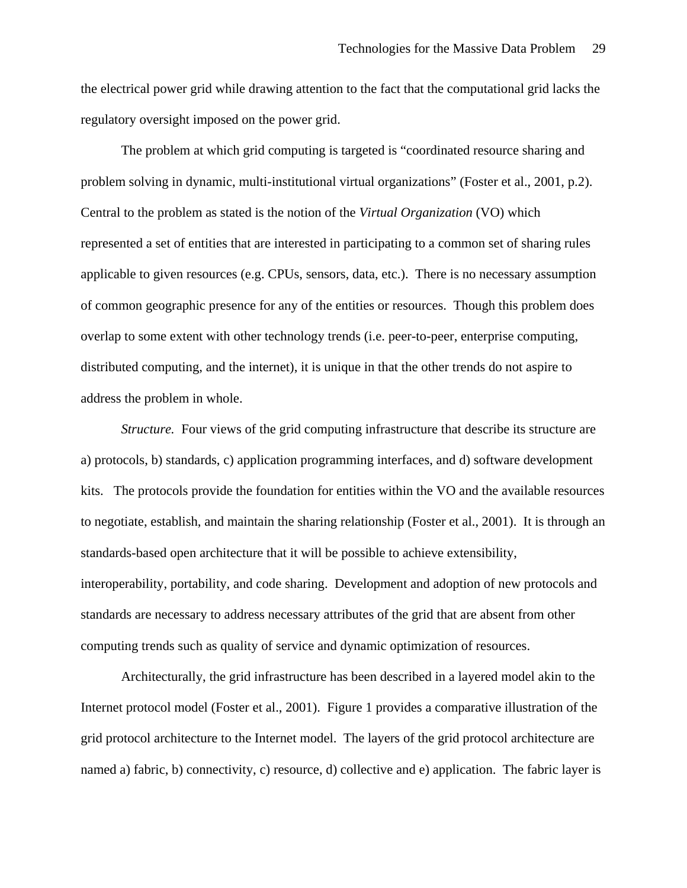the electrical power grid while drawing attention to the fact that the computational grid lacks the regulatory oversight imposed on the power grid.

The problem at which grid computing is targeted is "coordinated resource sharing and problem solving in dynamic, multi-institutional virtual organizations" (Foster et al., 2001, p.2). Central to the problem as stated is the notion of the *Virtual Organization* (VO) which represented a set of entities that are interested in participating to a common set of sharing rules applicable to given resources (e.g. CPUs, sensors, data, etc.). There is no necessary assumption of common geographic presence for any of the entities or resources. Though this problem does overlap to some extent with other technology trends (i.e. peer-to-peer, enterprise computing, distributed computing, and the internet), it is unique in that the other trends do not aspire to address the problem in whole.

*Structure.* Four views of the grid computing infrastructure that describe its structure are a) protocols, b) standards, c) application programming interfaces, and d) software development kits. The protocols provide the foundation for entities within the VO and the available resources to negotiate, establish, and maintain the sharing relationship (Foster et al., 2001). It is through an standards-based open architecture that it will be possible to achieve extensibility, interoperability, portability, and code sharing. Development and adoption of new protocols and standards are necessary to address necessary attributes of the grid that are absent from other computing trends such as quality of service and dynamic optimization of resources.

Architecturally, the grid infrastructure has been described in a layered model akin to the Internet protocol model (Foster et al., 2001). Figure 1 provides a comparative illustration of the grid protocol architecture to the Internet model. The layers of the grid protocol architecture are named a) fabric, b) connectivity, c) resource, d) collective and e) application. The fabric layer is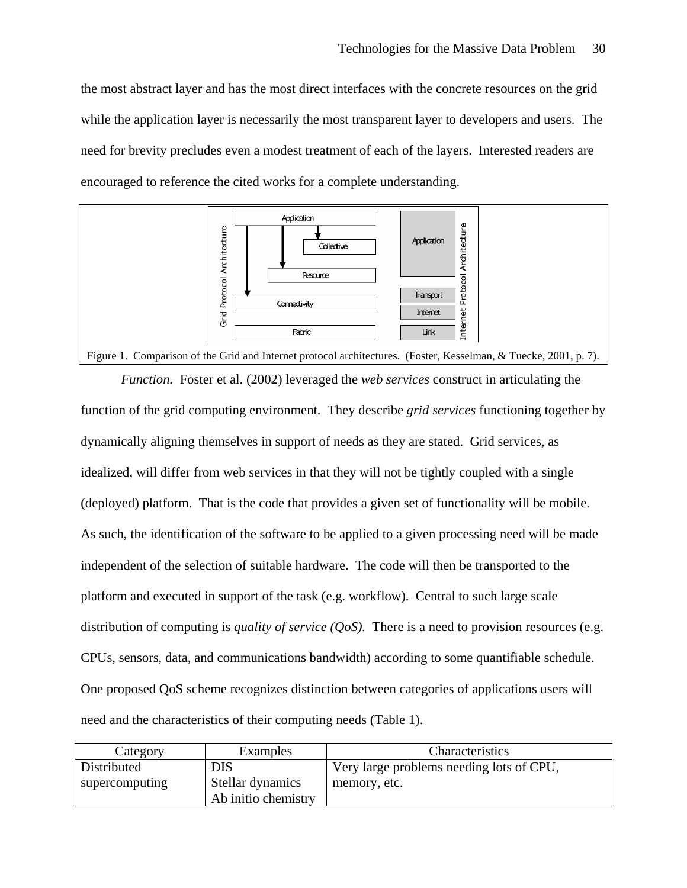the most abstract layer and has the most direct interfaces with the concrete resources on the grid while the application layer is necessarily the most transparent layer to developers and users. The need for brevity precludes even a modest treatment of each of the layers. Interested readers are encouraged to reference the cited works for a complete understanding.



*Function.* Foster et al. (2002) leveraged the *web services* construct in articulating the function of the grid computing environment. They describe *grid services* functioning together by dynamically aligning themselves in support of needs as they are stated. Grid services, as idealized, will differ from web services in that they will not be tightly coupled with a single (deployed) platform. That is the code that provides a given set of functionality will be mobile. As such, the identification of the software to be applied to a given processing need will be made independent of the selection of suitable hardware. The code will then be transported to the platform and executed in support of the task (e.g. workflow). Central to such large scale distribution of computing is *quality of service (QoS)*. There is a need to provision resources (e.g. CPUs, sensors, data, and communications bandwidth) according to some quantifiable schedule. One proposed QoS scheme recognizes distinction between categories of applications users will need and the characteristics of their computing needs (Table 1).

| Category                      | Examples                                       | Characteristics                                          |
|-------------------------------|------------------------------------------------|----------------------------------------------------------|
| Distributed<br>supercomputing | DIS<br>Stellar dynamics<br>Ab initio chemistry | Very large problems needing lots of CPU,<br>memory, etc. |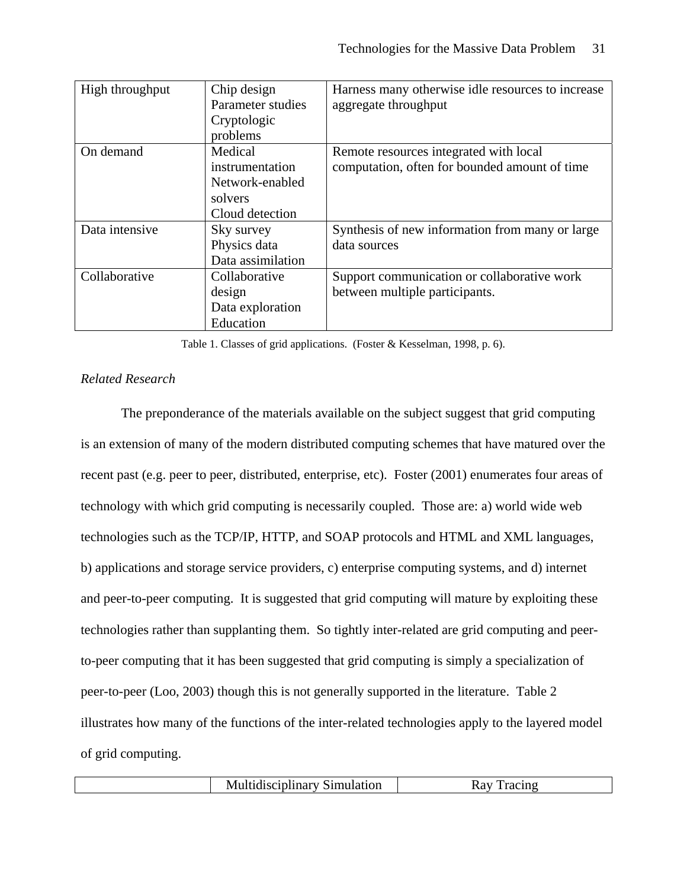| High throughput | Chip design       | Harness many otherwise idle resources to increase |
|-----------------|-------------------|---------------------------------------------------|
|                 | Parameter studies | aggregate throughput                              |
|                 | Cryptologic       |                                                   |
|                 | problems          |                                                   |
| On demand       | Medical           | Remote resources integrated with local            |
|                 | instrumentation   | computation, often for bounded amount of time     |
|                 | Network-enabled   |                                                   |
|                 | solvers           |                                                   |
|                 | Cloud detection   |                                                   |
| Data intensive  | Sky survey        | Synthesis of new information from many or large   |
|                 | Physics data      | data sources                                      |
|                 | Data assimilation |                                                   |
| Collaborative   | Collaborative     | Support communication or collaborative work       |
|                 | design            | between multiple participants.                    |
|                 | Data exploration  |                                                   |
|                 | Education         |                                                   |

Table 1. Classes of grid applications. (Foster & Kesselman, 1998, p. 6).

# *Related Research*

The preponderance of the materials available on the subject suggest that grid computing is an extension of many of the modern distributed computing schemes that have matured over the recent past (e.g. peer to peer, distributed, enterprise, etc). Foster (2001) enumerates four areas of technology with which grid computing is necessarily coupled. Those are: a) world wide web technologies such as the TCP/IP, HTTP, and SOAP protocols and HTML and XML languages, b) applications and storage service providers, c) enterprise computing systems, and d) internet and peer-to-peer computing. It is suggested that grid computing will mature by exploiting these technologies rather than supplanting them. So tightly inter-related are grid computing and peerto-peer computing that it has been suggested that grid computing is simply a specialization of peer-to-peer (Loo, 2003) though this is not generally supported in the literature. Table 2 illustrates how many of the functions of the inter-related technologies apply to the layered model of grid computing.

| <b>Multidisciplinary Simulation</b> |  |
|-------------------------------------|--|
|-------------------------------------|--|

Ray Tracing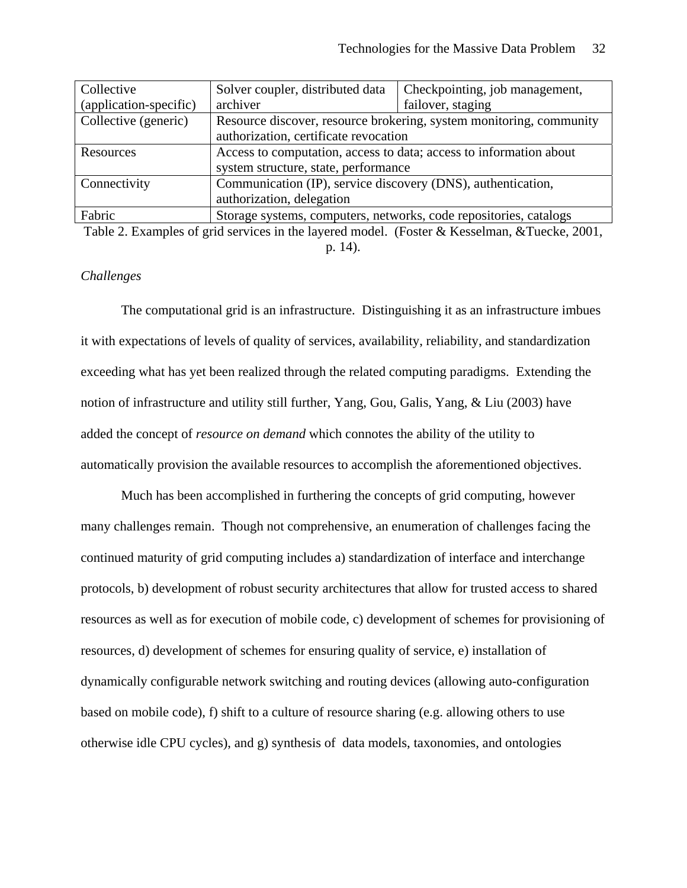| Collective             | Solver coupler, distributed data                                    | Checkpointing, job management, |  |
|------------------------|---------------------------------------------------------------------|--------------------------------|--|
| (application-specific) | archiver                                                            | failover, staging              |  |
| Collective (generic)   | Resource discover, resource brokering, system monitoring, community |                                |  |
|                        | authorization, certificate revocation                               |                                |  |
| Resources              | Access to computation, access to data; access to information about  |                                |  |
|                        | system structure, state, performance                                |                                |  |
| Connectivity           | Communication (IP), service discovery (DNS), authentication,        |                                |  |
|                        | authorization, delegation                                           |                                |  |
| Fabric                 | Storage systems, computers, networks, code repositories, catalogs   |                                |  |

Table 2. Examples of grid services in the layered model. (Foster & Kesselman, &Tuecke, 2001, p. 14).

# *Challenges*

The computational grid is an infrastructure. Distinguishing it as an infrastructure imbues it with expectations of levels of quality of services, availability, reliability, and standardization exceeding what has yet been realized through the related computing paradigms. Extending the notion of infrastructure and utility still further, Yang, Gou, Galis, Yang, & Liu (2003) have added the concept of *resource on demand* which connotes the ability of the utility to automatically provision the available resources to accomplish the aforementioned objectives.

Much has been accomplished in furthering the concepts of grid computing, however many challenges remain. Though not comprehensive, an enumeration of challenges facing the continued maturity of grid computing includes a) standardization of interface and interchange protocols, b) development of robust security architectures that allow for trusted access to shared resources as well as for execution of mobile code, c) development of schemes for provisioning of resources, d) development of schemes for ensuring quality of service, e) installation of dynamically configurable network switching and routing devices (allowing auto-configuration based on mobile code), f) shift to a culture of resource sharing (e.g. allowing others to use otherwise idle CPU cycles), and g) synthesis of data models, taxonomies, and ontologies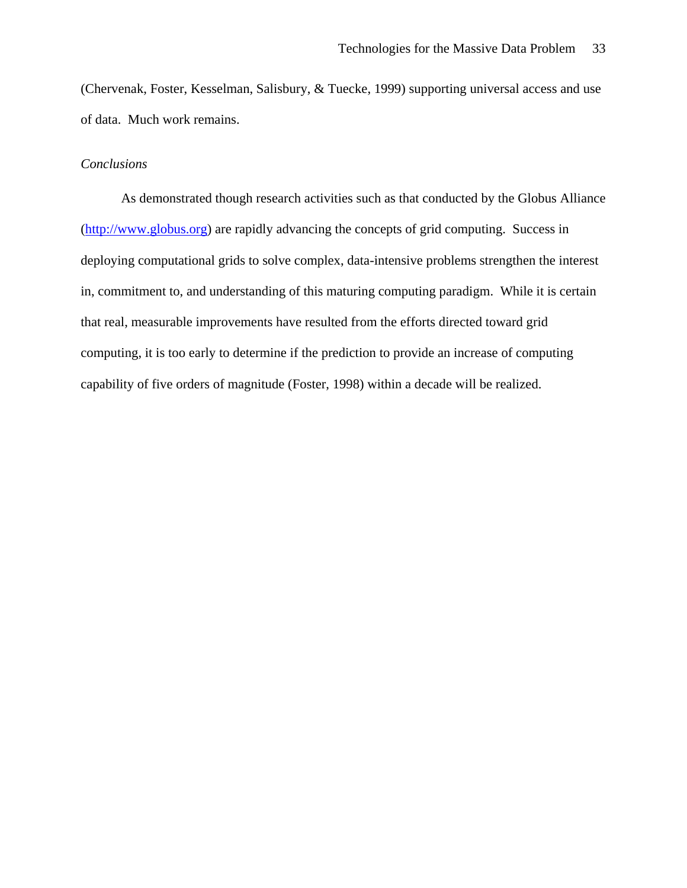(Chervenak, Foster, Kesselman, Salisbury, & Tuecke, 1999) supporting universal access and use of data. Much work remains.

# *Conclusions*

As demonstrated though research activities such as that conducted by the Globus Alliance (http://www.globus.org) are rapidly advancing the concepts of grid computing. Success in deploying computational grids to solve complex, data-intensive problems strengthen the interest in, commitment to, and understanding of this maturing computing paradigm. While it is certain that real, measurable improvements have resulted from the efforts directed toward grid computing, it is too early to determine if the prediction to provide an increase of computing capability of five orders of magnitude (Foster, 1998) within a decade will be realized.